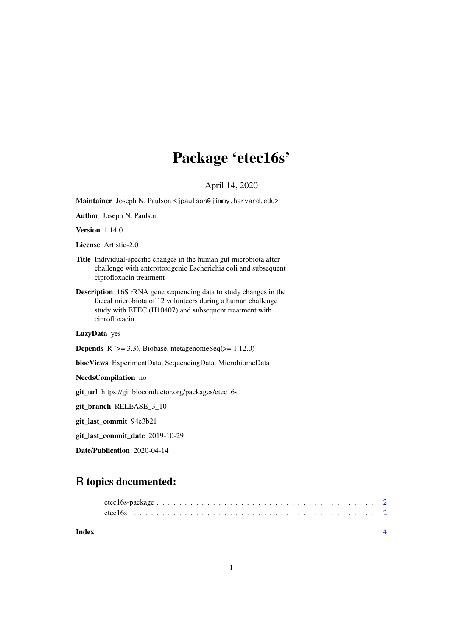## Package 'etec16s'

#### April 14, 2020

<span id="page-0-0"></span>Maintainer Joseph N. Paulson <jpaulson@jimmy.harvard.edu>

Author Joseph N. Paulson

Version 1.14.0

License Artistic-2.0

- Title Individual-specific changes in the human gut microbiota after challenge with enterotoxigenic Escherichia coli and subsequent ciprofloxacin treatment
- Description 16S rRNA gene sequencing data to study changes in the faecal microbiota of 12 volunteers during a human challenge study with ETEC (H10407) and subsequent treatment with ciprofloxacin.

LazyData yes

**Depends** R  $(>= 3.3)$ , Biobase, metagenomeSeq $(>= 1.12.0)$ 

biocViews ExperimentData, SequencingData, MicrobiomeData

NeedsCompilation no

git\_url https://git.bioconductor.org/packages/etec16s

git\_branch RELEASE\_3\_10

git\_last\_commit 94e3b21

git\_last\_commit\_date 2019-10-29

Date/Publication 2020-04-14

### R topics documented:

**Index** [4](#page-3-0)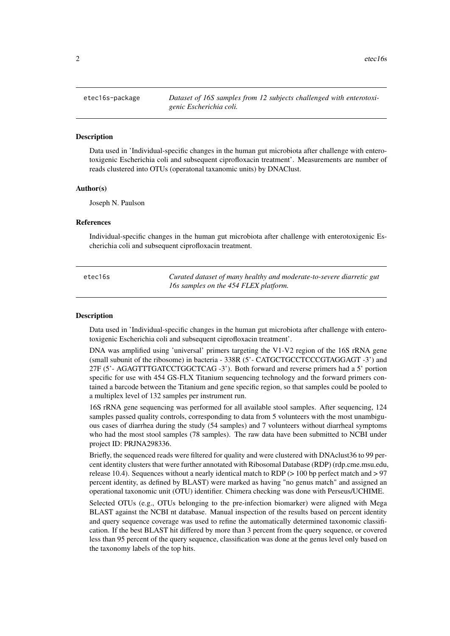<span id="page-1-0"></span>

#### Description

Data used in 'Individual-specific changes in the human gut microbiota after challenge with enterotoxigenic Escherichia coli and subsequent ciprofloxacin treatment'. Measurements are number of reads clustered into OTUs (operatonal taxanomic units) by DNAClust.

#### Author(s)

Joseph N. Paulson

#### References

Individual-specific changes in the human gut microbiota after challenge with enterotoxigenic Escherichia coli and subsequent ciprofloxacin treatment.

| etec16s | Curated dataset of many healthy and moderate-to-severe diarretic gut |
|---------|----------------------------------------------------------------------|
|         | 16s samples on the 454 FLEX platform.                                |

#### Description

Data used in 'Individual-specific changes in the human gut microbiota after challenge with enterotoxigenic Escherichia coli and subsequent ciprofloxacin treatment'.

DNA was amplified using 'universal' primers targeting the V1-V2 region of the 16S rRNA gene (small subunit of the ribosome) in bacteria - 338R (5'- CATGCTGCCTCCCGTAGGAGT -3') and 27F (5'- AGAGTTTGATCCTGGCTCAG -3'). Both forward and reverse primers had a 5' portion specific for use with 454 GS-FLX Titanium sequencing technology and the forward primers contained a barcode between the Titanium and gene specific region, so that samples could be pooled to a multiplex level of 132 samples per instrument run.

16S rRNA gene sequencing was performed for all available stool samples. After sequencing, 124 samples passed quality controls, corresponding to data from 5 volunteers with the most unambiguous cases of diarrhea during the study (54 samples) and 7 volunteers without diarrheal symptoms who had the most stool samples (78 samples). The raw data have been submitted to NCBI under project ID: PRJNA298336.

Briefly, the sequenced reads were filtered for quality and were clustered with DNAclust36 to 99 percent identity clusters that were further annotated with Ribosomal Database (RDP) (rdp.cme.msu.edu, release 10.4). Sequences without a nearly identical match to RDP ( $> 100$  bp perfect match and  $> 97$ percent identity, as defined by BLAST) were marked as having "no genus match" and assigned an operational taxonomic unit (OTU) identifier. Chimera checking was done with Perseus/UCHIME.

Selected OTUs (e.g., OTUs belonging to the pre-infection biomarker) were aligned with Mega BLAST against the NCBI nt database. Manual inspection of the results based on percent identity and query sequence coverage was used to refine the automatically determined taxonomic classification. If the best BLAST hit differed by more than 3 percent from the query sequence, or covered less than 95 percent of the query sequence, classification was done at the genus level only based on the taxonomy labels of the top hits.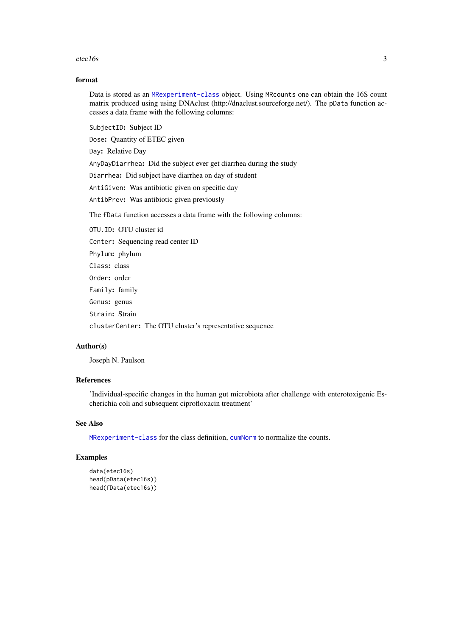#### <span id="page-2-0"></span>etec16s 3

#### format

Data is stored as an [MRexperiment-class](#page-0-0) object. Using MRcounts one can obtain the 16S count matrix produced using using DNAclust (http://dnaclust.sourceforge.net/). The pData function accesses a data frame with the following columns:

SubjectID: Subject ID

Dose: Quantity of ETEC given

Day: Relative Day

AnyDayDiarrhea: Did the subject ever get diarrhea during the study

Diarrhea: Did subject have diarrhea on day of student

AntiGiven: Was antibiotic given on specific day

AntibPrev: Was antibiotic given previously

The fData function accesses a data frame with the following columns:

OTU.ID: OTU cluster id Center: Sequencing read center ID Phylum: phylum Class: class Order: order Family: family Genus: genus Strain: Strain clusterCenter: The OTU cluster's representative sequence

#### Author(s)

Joseph N. Paulson

#### References

'Individual-specific changes in the human gut microbiota after challenge with enterotoxigenic Escherichia coli and subsequent ciprofloxacin treatment'

#### See Also

[MRexperiment-class](#page-0-0) for the class definition, [cumNorm](#page-0-0) to normalize the counts.

#### Examples

```
data(etec16s)
head(pData(etec16s))
head(fData(etec16s))
```